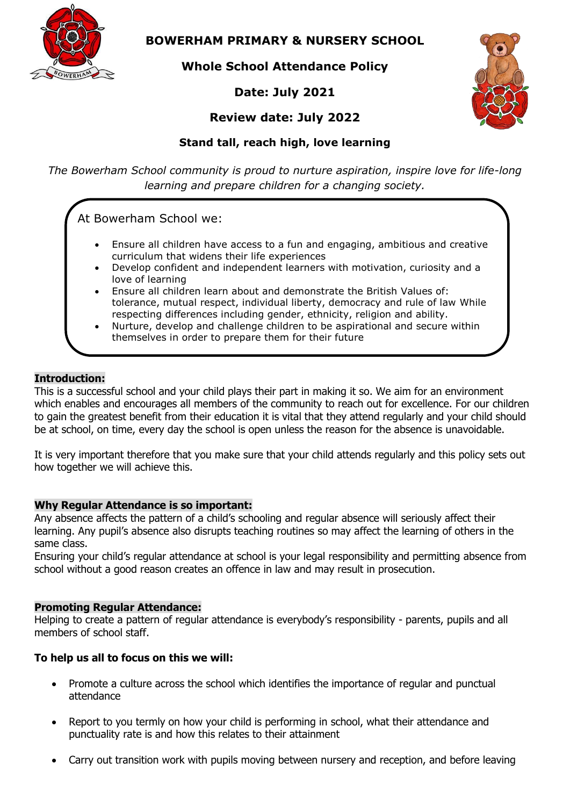

**BOWERHAM PRIMARY & NURSERY SCHOOL**

**Whole School Attendance Policy**

# **Date: July 2021**



# **Review date: July 2022**

# **Stand tall, reach high, love learning**

*The Bowerham School community is proud to nurture aspiration, inspire love for life-long learning and prepare children for a changing society.*

At Bowerham School we:

- Ensure all children have access to a fun and engaging, ambitious and creative curriculum that widens their life experiences
- Develop confident and independent learners with motivation, curiosity and a love of learning
- Ensure all children learn about and demonstrate the British Values of: tolerance, mutual respect, individual liberty, democracy and rule of law While respecting differences including gender, ethnicity, religion and ability.
- Nurture, develop and challenge children to be aspirational and secure within themselves in order to prepare them for their future

## **Introduction:**

This is a successful school and your child plays their part in making it so. We aim for an environment which enables and encourages all members of the community to reach out for excellence. For our children to gain the greatest benefit from their education it is vital that they attend regularly and your child should be at school, on time, every day the school is open unless the reason for the absence is unavoidable.

It is very important therefore that you make sure that your child attends regularly and this policy sets out how together we will achieve this.

## **Why Regular Attendance is so important:**

Any absence affects the pattern of a child's schooling and regular absence will seriously affect their learning. Any pupil's absence also disrupts teaching routines so may affect the learning of others in the same class.

Ensuring your child's regular attendance at school is your legal responsibility and permitting absence from school without a good reason creates an offence in law and may result in prosecution.

## **Promoting Regular Attendance:**

Helping to create a pattern of regular attendance is everybody's responsibility - parents, pupils and all members of school staff.

## **To help us all to focus on this we will:**

- Promote a culture across the school which identifies the importance of regular and punctual attendance
- Report to you termly on how your child is performing in school, what their attendance and punctuality rate is and how this relates to their attainment
- Carry out transition work with pupils moving between nursery and reception, and before leaving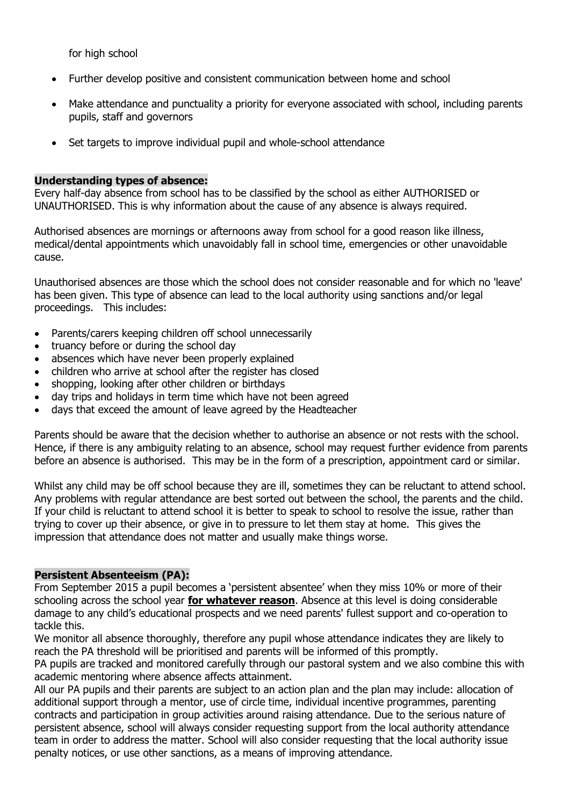for high school

- Further develop positive and consistent communication between home and school
- Make attendance and punctuality a priority for everyone associated with school, including parents pupils, staff and governors
- Set targets to improve individual pupil and whole-school attendance

#### **Understanding types of absence:**

Every half-day absence from school has to be classified by the school as either AUTHORISED or UNAUTHORISED. This is why information about the cause of any absence is always required.

Authorised absences are mornings or afternoons away from school for a good reason like illness, medical/dental appointments which unavoidably fall in school time, emergencies or other unavoidable cause.

Unauthorised absences are those which the school does not consider reasonable and for which no 'leave' has been given. This type of absence can lead to the local authority using sanctions and/or legal proceedings. This includes:

- Parents/carers keeping children off school unnecessarily
- truancy before or during the school day
- absences which have never been properly explained
- children who arrive at school after the register has closed
- shopping, looking after other children or birthdays
- day trips and holidays in term time which have not been agreed
- days that exceed the amount of leave agreed by the Headteacher

Parents should be aware that the decision whether to authorise an absence or not rests with the school. Hence, if there is any ambiguity relating to an absence, school may request further evidence from parents before an absence is authorised. This may be in the form of a prescription, appointment card or similar.

Whilst any child may be off school because they are ill, sometimes they can be reluctant to attend school. Any problems with regular attendance are best sorted out between the school, the parents and the child. If your child is reluctant to attend school it is better to speak to school to resolve the issue, rather than trying to cover up their absence, or give in to pressure to let them stay at home. This gives the impression that attendance does not matter and usually make things worse.

#### **Persistent Absenteeism (PA):**

From September 2015 a pupil becomes a 'persistent absentee' when they miss 10% or more of their schooling across the school year **for whatever reason**. Absence at this level is doing considerable damage to any child's educational prospects and we need parents' fullest support and co-operation to tackle this.

We monitor all absence thoroughly, therefore any pupil whose attendance indicates they are likely to reach the PA threshold will be prioritised and parents will be informed of this promptly.

PA pupils are tracked and monitored carefully through our pastoral system and we also combine this with academic mentoring where absence affects attainment.

All our PA pupils and their parents are subject to an action plan and the plan may include: allocation of additional support through a mentor, use of circle time, individual incentive programmes, parenting contracts and participation in group activities around raising attendance. Due to the serious nature of persistent absence, school will always consider requesting support from the local authority attendance team in order to address the matter. School will also consider requesting that the local authority issue penalty notices, or use other sanctions, as a means of improving attendance.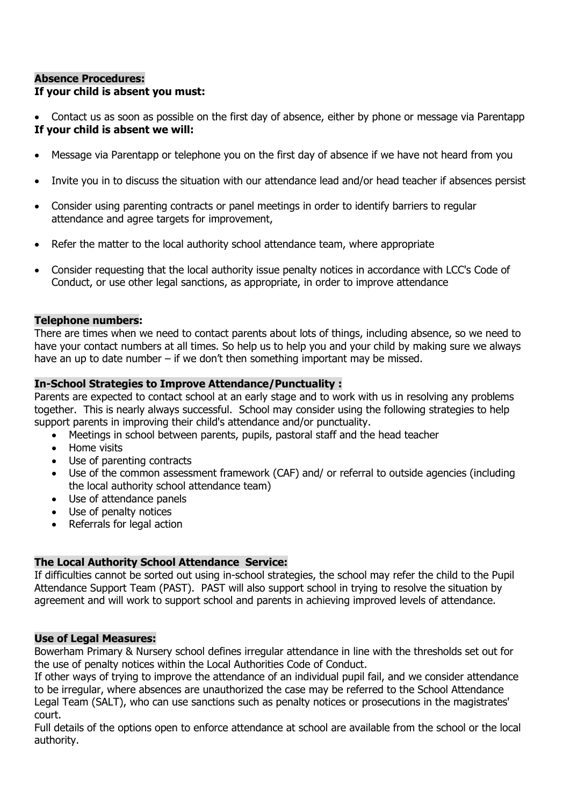## **Absence Procedures: If your child is absent you must:**

 Contact us as soon as possible on the first day of absence, either by phone or message via Parentapp **If your child is absent we will:**

- Message via Parentapp or telephone you on the first day of absence if we have not heard from you
- Invite you in to discuss the situation with our attendance lead and/or head teacher if absences persist
- Consider using parenting contracts or panel meetings in order to identify barriers to regular attendance and agree targets for improvement,
- Refer the matter to the local authority school attendance team, where appropriate
- Consider requesting that the local authority issue penalty notices in accordance with LCC's Code of Conduct, or use other legal sanctions, as appropriate, in order to improve attendance

### **Telephone numbers:**

There are times when we need to contact parents about lots of things, including absence, so we need to have your contact numbers at all times. So help us to help you and your child by making sure we always have an up to date number – if we don't then something important may be missed.

### **In-School Strategies to Improve Attendance/Punctuality :**

Parents are expected to contact school at an early stage and to work with us in resolving any problems together. This is nearly always successful. School may consider using the following strategies to help support parents in improving their child's attendance and/or punctuality.

- Meetings in school between parents, pupils, pastoral staff and the head teacher
- Home visits
- Use of parenting contracts
- Use of the common assessment framework (CAF) and/ or referral to outside agencies (including the local authority school attendance team)
- Use of attendance panels
- Use of penalty notices
- Referrals for legal action

## **The Local Authority School Attendance Service:**

If difficulties cannot be sorted out using in-school strategies, the school may refer the child to the Pupil Attendance Support Team (PAST). PAST will also support school in trying to resolve the situation by agreement and will work to support school and parents in achieving improved levels of attendance.

#### **Use of Legal Measures:**

Bowerham Primary & Nursery school defines irregular attendance in line with the thresholds set out for the use of penalty notices within the Local Authorities Code of Conduct.

If other ways of trying to improve the attendance of an individual pupil fail, and we consider attendance to be irregular, where absences are unauthorized the case may be referred to the School Attendance Legal Team (SALT), who can use sanctions such as penalty notices or prosecutions in the magistrates' court.

Full details of the options open to enforce attendance at school are available from the school or the local authority.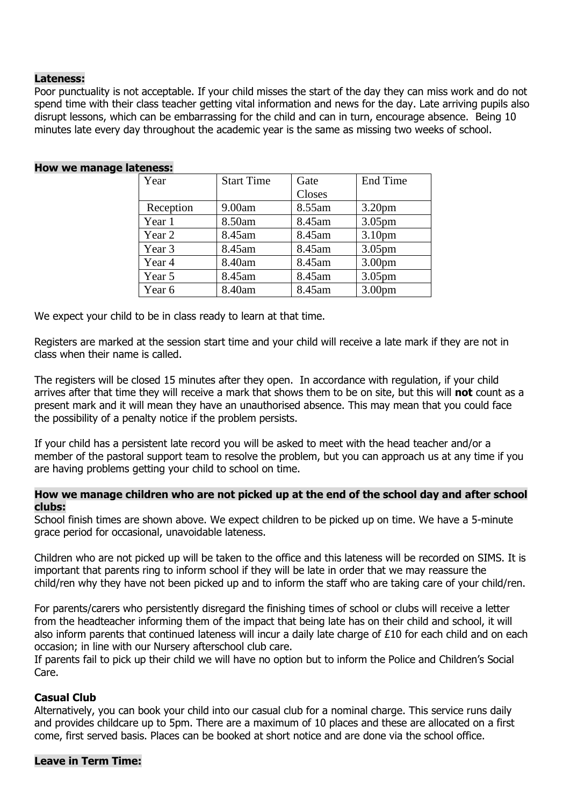#### **Lateness:**

Poor punctuality is not acceptable. If your child misses the start of the day they can miss work and do not spend time with their class teacher getting vital information and news for the day. Late arriving pupils also disrupt lessons, which can be embarrassing for the child and can in turn, encourage absence. Being 10 minutes late every day throughout the academic year is the same as missing two weeks of school.

| Year      | <b>Start Time</b> | Gate   | <b>End Time</b>    |
|-----------|-------------------|--------|--------------------|
|           |                   | Closes |                    |
| Reception | 9.00am            | 8.55am | 3.20 <sub>pm</sub> |
| Year 1    | 8.50am            | 8.45am | 3.05 <sub>pm</sub> |
| Year 2    | 8.45am            | 8.45am | 3.10 <sub>pm</sub> |
| Year 3    | 8.45am            | 8.45am | 3.05 <sub>pm</sub> |
| Year 4    | 8.40am            | 8.45am | 3.00 <sub>pm</sub> |
| Year 5    | 8.45am            | 8.45am | 3.05 <sub>pm</sub> |
| Year 6    | 8.40am            | 8.45am | 3.00 <sub>pm</sub> |
|           |                   |        |                    |

#### **How we manage lateness:**

We expect your child to be in class ready to learn at that time.

Registers are marked at the session start time and your child will receive a late mark if they are not in class when their name is called.

The registers will be closed 15 minutes after they open. In accordance with regulation, if your child arrives after that time they will receive a mark that shows them to be on site, but this will **not** count as a present mark and it will mean they have an unauthorised absence. This may mean that you could face the possibility of a penalty notice if the problem persists.

If your child has a persistent late record you will be asked to meet with the head teacher and/or a member of the pastoral support team to resolve the problem, but you can approach us at any time if you are having problems getting your child to school on time.

#### **How we manage children who are not picked up at the end of the school day and after school clubs:**

School finish times are shown above. We expect children to be picked up on time. We have a 5-minute grace period for occasional, unavoidable lateness.

Children who are not picked up will be taken to the office and this lateness will be recorded on SIMS. It is important that parents ring to inform school if they will be late in order that we may reassure the child/ren why they have not been picked up and to inform the staff who are taking care of your child/ren.

For parents/carers who persistently disregard the finishing times of school or clubs will receive a letter from the headteacher informing them of the impact that being late has on their child and school, it will also inform parents that continued lateness will incur a daily late charge of £10 for each child and on each occasion; in line with our Nursery afterschool club care.

If parents fail to pick up their child we will have no option but to inform the Police and Children's Social Care.

## **Casual Club**

Alternatively, you can book your child into our casual club for a nominal charge. This service runs daily and provides childcare up to 5pm. There are a maximum of 10 places and these are allocated on a first come, first served basis. Places can be booked at short notice and are done via the school office.

#### **Leave in Term Time:**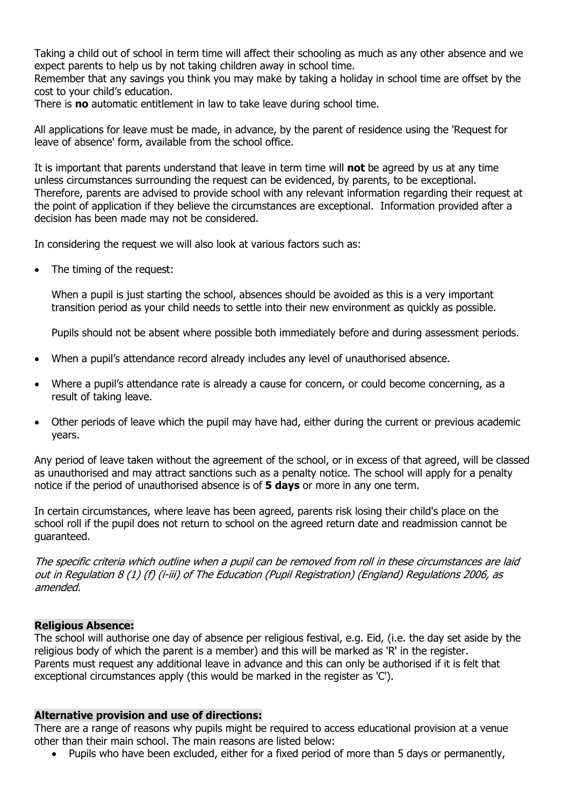Taking a child out of school in term time will affect their schooling as much as any other absence and we expect parents to help us by not taking children away in school time.

Remember that any savings you think you may make by taking a holiday in school time are offset by the cost to your child's education.

There is **no** automatic entitlement in law to take leave during school time.

All applications for leave must be made, in advance, by the parent of residence using the 'Request for leave of absence' form, available from the school office.

It is important that parents understand that leave in term time will **not** be agreed by us at any time unless circumstances surrounding the request can be evidenced, by parents, to be exceptional. Therefore, parents are advised to provide school with any relevant information regarding their request at the point of application if they believe the circumstances are exceptional. Information provided after a decision has been made may not be considered.

In considering the request we will also look at various factors such as:

• The timing of the request:

When a pupil is just starting the school, absences should be avoided as this is a very important transition period as your child needs to settle into their new environment as quickly as possible.

Pupils should not be absent where possible both immediately before and during assessment periods.

- When a pupil's attendance record already includes any level of unauthorised absence.
- Where a pupil's attendance rate is already a cause for concern, or could become concerning, as a result of taking leave.
- Other periods of leave which the pupil may have had, either during the current or previous academic years.

Any period of leave taken without the agreement of the school, or in excess of that agreed, will be classed as unauthorised and may attract sanctions such as a penalty notice. The school will apply for a penalty notice if the period of unauthorised absence is of **5 days** or more in any one term.

In certain circumstances, where leave has been agreed, parents risk losing their child's place on the school roll if the pupil does not return to school on the agreed return date and readmission cannot be guaranteed.

The specific criteria which outline when a pupil can be removed from roll in these circumstances are laid out in Regulation 8 (1) (f) (i-iii) of The Education (Pupil Registration) (England) Regulations 2006, as amended.

## **Religious Absence:**

The school will authorise one day of absence per religious festival, e.g. Eid, (i.e. the day set aside by the religious body of which the parent is a member) and this will be marked as 'R' in the register. Parents must request any additional leave in advance and this can only be authorised if it is felt that exceptional circumstances apply (this would be marked in the register as 'C').

#### **Alternative provision and use of directions:**

There are a range of reasons why pupils might be required to access educational provision at a venue other than their main school. The main reasons are listed below:

Pupils who have been excluded, either for a fixed period of more than 5 days or permanently,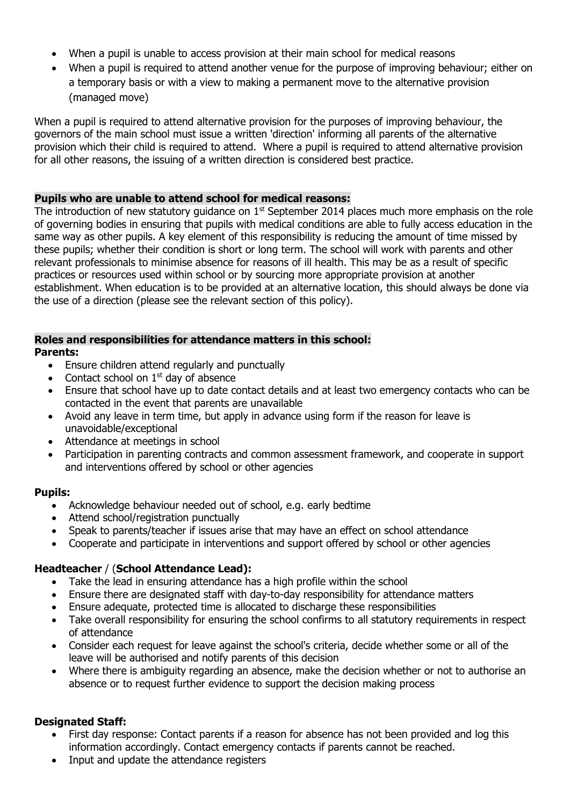- When a pupil is unable to access provision at their main school for medical reasons
- When a pupil is required to attend another venue for the purpose of improving behaviour; either on a temporary basis or with a view to making a permanent move to the alternative provision (managed move)

When a pupil is required to attend alternative provision for the purposes of improving behaviour, the governors of the main school must issue a written 'direction' informing all parents of the alternative provision which their child is required to attend. Where a pupil is required to attend alternative provision for all other reasons, the issuing of a written direction is considered best practice.

## **Pupils who are unable to attend school for medical reasons:**

The introduction of new statutory quidance on  $1<sup>st</sup>$  September 2014 places much more emphasis on the role of governing bodies in ensuring that pupils with medical conditions are able to fully access education in the same way as other pupils. A key element of this responsibility is reducing the amount of time missed by these pupils; whether their condition is short or long term. The school will work with parents and other relevant professionals to minimise absence for reasons of ill health. This may be as a result of specific practices or resources used within school or by sourcing more appropriate provision at another establishment. When education is to be provided at an alternative location, this should always be done via the use of a direction (please see the relevant section of this policy).

# **Roles and responsibilities for attendance matters in this school:**

## **Parents:**

- Ensure children attend regularly and punctually
- Contact school on  $1<sup>st</sup>$  day of absence
- Ensure that school have up to date contact details and at least two emergency contacts who can be contacted in the event that parents are unavailable
- Avoid any leave in term time, but apply in advance using form if the reason for leave is unavoidable/exceptional
- Attendance at meetings in school
- Participation in parenting contracts and common assessment framework, and cooperate in support and interventions offered by school or other agencies

# **Pupils:**

- Acknowledge behaviour needed out of school, e.g. early bedtime
- Attend school/registration punctually
- Speak to parents/teacher if issues arise that may have an effect on school attendance
- Cooperate and participate in interventions and support offered by school or other agencies

# **Headteacher** / (**School Attendance Lead):**

- Take the lead in ensuring attendance has a high profile within the school
- Ensure there are designated staff with day-to-day responsibility for attendance matters
- Ensure adequate, protected time is allocated to discharge these responsibilities
- Take overall responsibility for ensuring the school confirms to all statutory requirements in respect of attendance
- Consider each request for leave against the school's criteria, decide whether some or all of the leave will be authorised and notify parents of this decision
- Where there is ambiguity regarding an absence, make the decision whether or not to authorise an absence or to request further evidence to support the decision making process

# **Designated Staff:**

- First day response: Contact parents if a reason for absence has not been provided and log this information accordingly. Contact emergency contacts if parents cannot be reached.
- Input and update the attendance registers